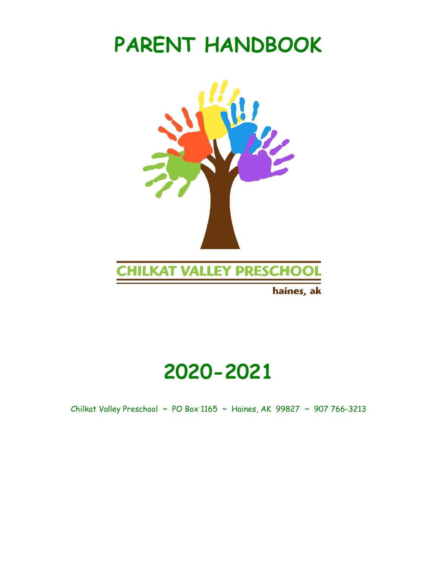# **PARENT HANDBOOK**



haines, ak

# **2020-2021**

Chilkat Valley Preschool ~ PO Box 1165 ~ Haines, AK 99827 ~ 907 766-3213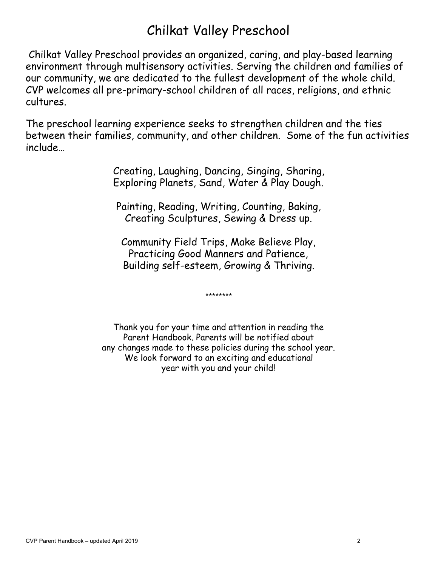## Chilkat Valley Preschool

Chilkat Valley Preschool provides an organized, caring, and play-based learning environment through multisensory activities. Serving the children and families of our community, we are dedicated to the fullest development of the whole child. CVP welcomes all pre-primary-school children of all races, religions, and ethnic cultures.

The preschool learning experience seeks to strengthen children and the ties between their families, community, and other children. Some of the fun activities include…

> Creating, Laughing, Dancing, Singing, Sharing, Exploring Planets, Sand, Water & Play Dough.

Painting, Reading, Writing, Counting, Baking, Creating Sculptures, Sewing & Dress up.

Community Field Trips, Make Believe Play, Practicing Good Manners and Patience, Building self-esteem, Growing & Thriving.

\*\*\*\*\*\*\*\*

Thank you for your time and attention in reading the Parent Handbook. Parents will be notified about any changes made to these policies during the school year. We look forward to an exciting and educational year with you and your child!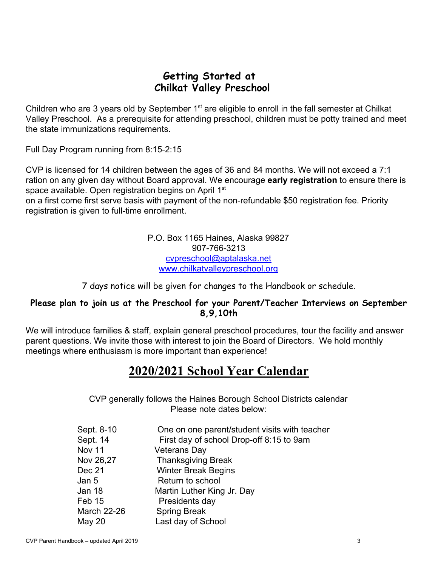### **Getting Started at Chilkat Valley Preschool**

Children who are 3 years old by September 1<sup>st</sup> are eligible to enroll in the fall semester at Chilkat Valley Preschool. As a prerequisite for attending preschool, children must be potty trained and meet the state immunizations requirements.

Full Day Program running from 8:15-2:15

CVP is licensed for 14 children between the ages of 36 and 84 months. We will not exceed a 7:1 ration on any given day without Board approval. We encourage **early registration** to ensure there is space available. Open registration begins on April 1<sup>st</sup>

on a first come first serve basis with payment of the non-refundable \$50 registration fee. Priority registration is given to full-time enrollment.

> P.O. Box 1165 Haines, Alaska 99827 907-766-3213 [cvpreschool@aptalaska.net](mailto:cvpreschool@aptalaska.net) [www.chilkatvalleypreschool.org](http://www.chilkatvalleypreschool.org/)

7 days notice will be given for changes to the Handbook or schedule.

#### **Please plan to join us at the Preschool for your Parent/Teacher Interviews on September 8,9,10th**

We will introduce families & staff, explain general preschool procedures, tour the facility and answer parent questions. We invite those with interest to join the Board of Directors. We hold monthly meetings where enthusiasm is more important than experience!

## **2020/2021 School Year Calendar**

CVP generally follows the Haines Borough School Districts calendar Please note dates below:

| Sept. 8-10         | One on one parent/student visits with teacher |
|--------------------|-----------------------------------------------|
| Sept. 14           | First day of school Drop-off 8:15 to 9am      |
| Nov 11             | Veterans Day                                  |
| Nov 26,27          | <b>Thanksgiving Break</b>                     |
| Dec 21             | <b>Winter Break Begins</b>                    |
| Jan 5              | Return to school                              |
| Jan 18             | Martin Luther King Jr. Day                    |
| Feb 15             | Presidents day                                |
| <b>March 22-26</b> | <b>Spring Break</b>                           |
| May 20             | Last day of School                            |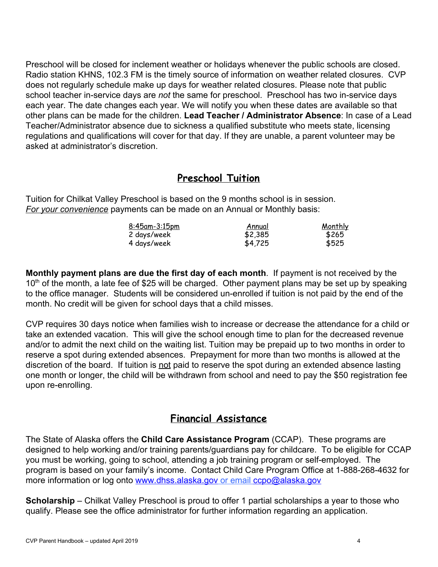Preschool will be closed for inclement weather or holidays whenever the public schools are closed. Radio station KHNS, 102.3 FM is the timely source of information on weather related closures. CVP does not regularly schedule make up days for weather related closures. Please note that public school teacher in-service days are *not* the same for preschool. Preschool has two in-service days each year. The date changes each year. We will notify you when these dates are available so that other plans can be made for the children. **Lead Teacher / Administrator Absence**: In case of a Lead Teacher/Administrator absence due to sickness a qualified substitute who meets state, licensing regulations and qualifications will cover for that day. If they are unable, a parent volunteer may be asked at administrator's discretion.

## **Preschool Tuition**

Tuition for Chilkat Valley Preschool is based on the 9 months school is in session. *For your convenience* payments can be made on an Annual or Monthly basis:

| <u>8:45am-3:15pm</u> | Annual  | <u>Monthly</u> |
|----------------------|---------|----------------|
| 2 days/week          | \$2,385 | \$265          |
| 4 days/week          | \$4,725 | \$525          |

**Monthly payment plans are due the first day of each month**. If payment is not received by the 10<sup>th</sup> of the month, a late fee of \$25 will be charged. Other payment plans may be set up by speaking to the office manager. Students will be considered un-enrolled if tuition is not paid by the end of the month. No credit will be given for school days that a child misses.

CVP requires 30 days notice when families wish to increase or decrease the attendance for a child or take an extended vacation. This will give the school enough time to plan for the decreased revenue and/or to admit the next child on the waiting list. Tuition may be prepaid up to two months in order to reserve a spot during extended absences. Prepayment for more than two months is allowed at the discretion of the board. If tuition is not paid to reserve the spot during an extended absence lasting one month or longer, the child will be withdrawn from school and need to pay the \$50 registration fee upon re-enrolling.

## **Financial Assistance**

The State of Alaska offers the **Child Care Assistance Program** (CCAP). These programs are designed to help working and/or training parents/guardians pay for childcare. To be eligible for CCAP you must be working, going to school, attending a job training program or self-employed. The program is based on your family's income. Contact Child Care Program Office at 1-888-268-4632 for more information or log onto [www.dhss.alaska.gov](http://www.dhss.alaska.gov/) or email [ccpo@alaska.gov](mailto:ccpo@alaska.gov)

**Scholarship** – Chilkat Valley Preschool is proud to offer 1 partial scholarships a year to those who qualify. Please see the office administrator for further information regarding an application.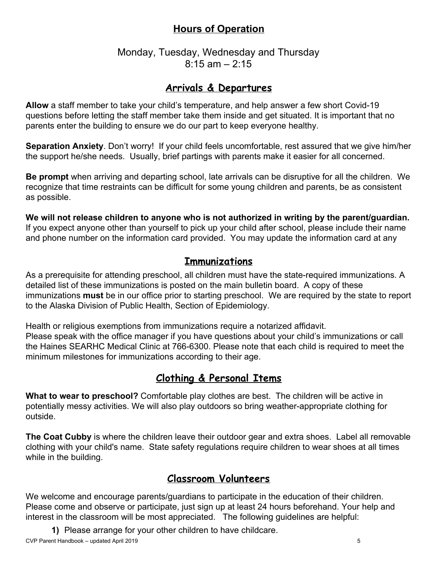## **Hours of Operation**

#### Monday, Tuesday, Wednesday and Thursday  $8:15$  am  $-2:15$

### **Arrivals & Departures**

**Allow** a staff member to take your child's temperature, and help answer a few short Covid-19 questions before letting the staff member take them inside and get situated. It is important that no parents enter the building to ensure we do our part to keep everyone healthy.

**Separation Anxiety**. Don't worry! If your child feels uncomfortable, rest assured that we give him/her the support he/she needs. Usually, brief partings with parents make it easier for all concerned.

**Be prompt** when arriving and departing school, late arrivals can be disruptive for all the children. We recognize that time restraints can be difficult for some young children and parents, be as consistent as possible.

**We will not release children to anyone who is not authorized in writing by the parent/guardian.** If you expect anyone other than yourself to pick up your child after school, please include their name and phone number on the information card provided. You may update the information card at any

#### **Immunizations**

As a prerequisite for attending preschool, all children must have the state-required immunizations. A detailed list of these immunizations is posted on the main bulletin board. A copy of these immunizations **must** be in our office prior to starting preschool. We are required by the state to report to the Alaska Division of Public Health, Section of Epidemiology.

Health or religious exemptions from immunizations require a notarized affidavit. Please speak with the office manager if you have questions about your child's immunizations or call the Haines SEARHC Medical Clinic at 766-6300. Please note that each child is required to meet the minimum milestones for immunizations according to their age.

### **Clothing & Personal Items**

**What to wear to preschool?** Comfortable play clothes are best. The children will be active in potentially messy activities. We will also play outdoors so bring weather-appropriate clothing for outside.

**The Coat Cubby** is where the children leave their outdoor gear and extra shoes. Label all removable clothing with your child's name. State safety regulations require children to wear shoes at all times while in the building.

### **Classroom Volunteers**

We welcome and encourage parents/guardians to participate in the education of their children. Please come and observe or participate, just sign up at least 24 hours beforehand. Your help and interest in the classroom will be most appreciated. The following guidelines are helpful:

**1)** Please arrange for your other children to have childcare.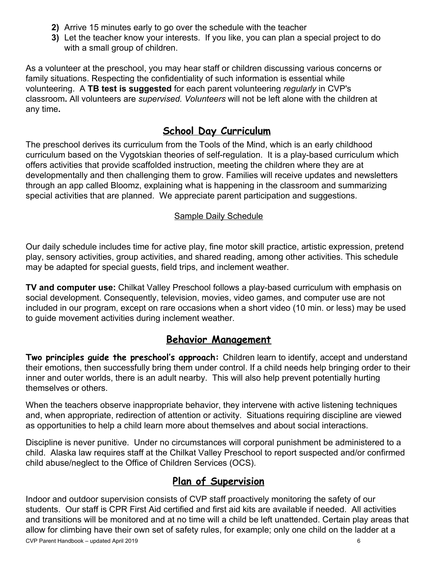- **2)** Arrive 15 minutes early to go over the schedule with the teacher
- **3)** Let the teacher know your interests.If you like, you can plan a special project to do with a small group of children.

As a volunteer at the preschool, you may hear staff or children discussing various concerns or family situations. Respecting the confidentiality of such information is essential while volunteering. A **TB test is suggested** for each parent volunteering *regularly* in CVP's classroom**.** All volunteers are *supervised. Volunteers* will not be left alone with the children at any time**.**

## **School Day Curriculum**

The preschool derives its curriculum from the Tools of the Mind, which is an early childhood curriculum based on the Vygotskian theories of self-regulation. It is a play-based curriculum which offers activities that provide scaffolded instruction, meeting the children where they are at developmentally and then challenging them to grow. Families will receive updates and newsletters through an app called Bloomz, explaining what is happening in the classroom and summarizing special activities that are planned. We appreciate parent participation and suggestions.

#### Sample Daily Schedule

Our daily schedule includes time for active play, fine motor skill practice, artistic expression, pretend play, sensory activities, group activities, and shared reading, among other activities. This schedule may be adapted for special guests, field trips, and inclement weather.

**TV and computer use:** Chilkat Valley Preschool follows a play-based curriculum with emphasis on social development. Consequently, television, movies, video games, and computer use are not included in our program, except on rare occasions when a short video (10 min. or less) may be used to guide movement activities during inclement weather.

## **Behavior Management**

**Two principles guide the preschool's approach:** Children learn to identify, accept and understand their emotions, then successfully bring them under control. If a child needs help bringing order to their inner and outer worlds, there is an adult nearby. This will also help prevent potentially hurting themselves or others.

When the teachers observe inappropriate behavior, they intervene with active listening techniques and, when appropriate, redirection of attention or activity. Situations requiring discipline are viewed as opportunities to help a child learn more about themselves and about social interactions.

Discipline is never punitive. Under no circumstances will corporal punishment be administered to a child. Alaska law requires staff at the Chilkat Valley Preschool to report suspected and/or confirmed child abuse/neglect to the Office of Children Services (OCS).

## **Plan of Supervision**

Indoor and outdoor supervision consists of CVP staff proactively monitoring the safety of our students. Our staff is CPR First Aid certified and first aid kits are available if needed. All activities and transitions will be monitored and at no time will a child be left unattended. Certain play areas that allow for climbing have their own set of safety rules, for example; only one child on the ladder at a CVP Parent Handbook – updated April 2019 6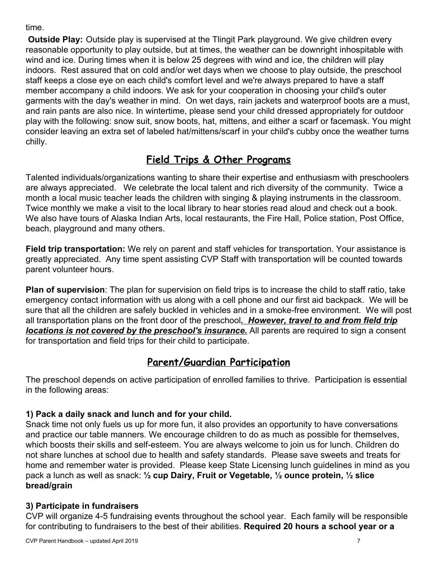#### time.

**Outside Play:** Outside play is supervised at the Tlingit Park playground. We give children every reasonable opportunity to play outside, but at times, the weather can be downright inhospitable with wind and ice. During times when it is below 25 degrees with wind and ice, the children will play indoors. Rest assured that on cold and/or wet days when we choose to play outside, the preschool staff keeps a close eye on each child's comfort level and we're always prepared to have a staff member accompany a child indoors. We ask for your cooperation in choosing your child's outer garments with the day's weather in mind. On wet days, rain jackets and waterproof boots are a must, and rain pants are also nice. In wintertime, please send your child dressed appropriately for outdoor play with the following: snow suit, snow boots, hat, mittens, and either a scarf or facemask. You might consider leaving an extra set of labeled hat/mittens/scarf in your child's cubby once the weather turns chilly.

## **Field Trips & Other Programs**

Talented individuals/organizations wanting to share their expertise and enthusiasm with preschoolers are always appreciated. We celebrate the local talent and rich diversity of the community. Twice a month a local music teacher leads the children with singing & playing instruments in the classroom. Twice monthly we make a visit to the local library to hear stories read aloud and check out a book. We also have tours of Alaska Indian Arts, local restaurants, the Fire Hall, Police station, Post Office, beach, playground and many others.

**Field trip transportation:** We rely on parent and staff vehicles for transportation. Your assistance is greatly appreciated. Any time spent assisting CVP Staff with transportation will be counted towards parent volunteer hours.

**Plan of supervision**: The plan for supervision on field trips is to increase the child to staff ratio, take emergency contact information with us along with a cell phone and our first aid backpack. We will be sure that all the children are safely buckled in vehicles and in a smoke-free environment. We will post all transportation plans on the front door of the preschool*. However, travel to and from field trip locations is not covered by the preschool's insurance.* All parents are required to sign a consent for transportation and field trips for their child to participate.

## **Parent/Guardian Participation**

The preschool depends on active participation of enrolled families to thrive. Participation is essential in the following areas:

#### **1) Pack a daily snack and lunch and for your child.**

Snack time not only fuels us up for more fun, it also provides an opportunity to have conversations and practice our table manners. We encourage children to do as much as possible for themselves, which boosts their skills and self-esteem. You are always welcome to join us for lunch. Children do not share lunches at school due to health and safety standards. Please save sweets and treats for home and remember water is provided. Please keep State Licensing lunch guidelines in mind as you pack a lunch as well as snack: **½ cup Dairy, Fruit or Vegetable, ½ ounce protein, ½ slice bread/grain**

#### **3) Participate in fundraisers**

CVP will organize 4-5 fundraising events throughout the school year. Each family will be responsible for contributing to fundraisers to the best of their abilities. **Required 20 hours a school year or a**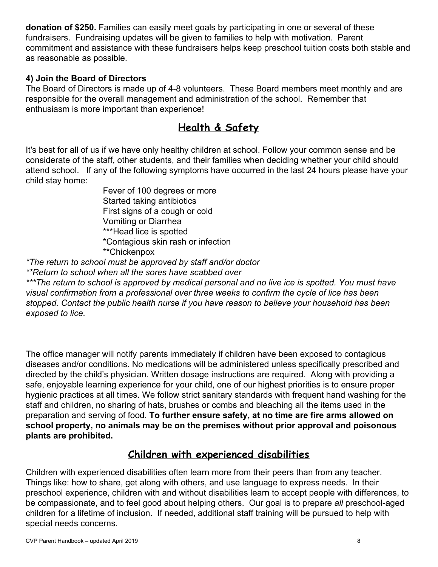**donation of \$250.** Families can easily meet goals by participating in one or several of these fundraisers. Fundraising updates will be given to families to help with motivation. Parent commitment and assistance with these fundraisers helps keep preschool tuition costs both stable and as reasonable as possible.

#### **4) Join the Board of Directors**

The Board of Directors is made up of 4-8 volunteers. These Board members meet monthly and are responsible for the overall management and administration of the school. Remember that enthusiasm is more important than experience!

## **Health & Safety**

It's best for all of us if we have only healthy children at school. Follow your common sense and be considerate of the staff, other students, and their families when deciding whether your child should attend school. If any of the following symptoms have occurred in the last 24 hours please have your child stay home:

> Fever of 100 degrees or more Started taking antibiotics First signs of a cough or cold Vomiting or Diarrhea \*\*\*Head lice is spotted \*Contagious skin rash or infection \*\*Chickenpox

*\*The return to school must be approved by staff and/or doctor*

*\*\*Return to school when all the sores have scabbed over*

*\*\*\*The return to school is approved by medical personal and no live ice is spotted. You must have visual confirmation from a professional over three weeks to confirm the cycle of lice has been stopped. Contact the public health nurse if you have reason to believe your household has been exposed to lice.*

The office manager will notify parents immediately if children have been exposed to contagious diseases and/or conditions. No medications will be administered unless specifically prescribed and directed by the child's physician. Written dosage instructions are required. Along with providing a safe, enjoyable learning experience for your child, one of our highest priorities is to ensure proper hygienic practices at all times. We follow strict sanitary standards with frequent hand washing for the staff and children, no sharing of hats, brushes or combs and bleaching all the items used in the preparation and serving of food. **To further ensure safety, at no time are fire arms allowed on school property, no animals may be on the premises without prior approval and poisonous plants are prohibited.**

### **Children with experienced disabilities**

Children with experienced disabilities often learn more from their peers than from any teacher. Things like: how to share, get along with others, and use language to express needs. In their preschool experience, children with and without disabilities learn to accept people with differences, to be compassionate, and to feel good about helping others. Our goal is to prepare *all* preschool-aged children for a lifetime of inclusion. If needed, additional staff training will be pursued to help with special needs concerns.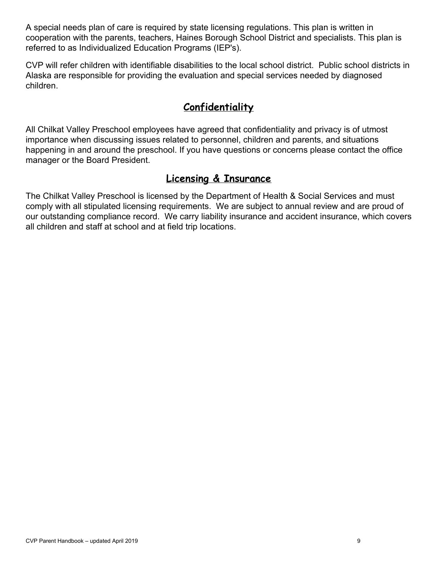A special needs plan of care is required by state licensing regulations. This plan is written in cooperation with the parents, teachers, Haines Borough School District and specialists. This plan is referred to as Individualized Education Programs (IEP's).

CVP will refer children with identifiable disabilities to the local school district. Public school districts in Alaska are responsible for providing the evaluation and special services needed by diagnosed children.

## **Confidentiality**

All Chilkat Valley Preschool employees have agreed that confidentiality and privacy is of utmost importance when discussing issues related to personnel, children and parents, and situations happening in and around the preschool. If you have questions or concerns please contact the office manager or the Board President.

## **Licensing & Insurance**

The Chilkat Valley Preschool is licensed by the Department of Health & Social Services and must comply with all stipulated licensing requirements. We are subject to annual review and are proud of our outstanding compliance record. We carry liability insurance and accident insurance, which covers all children and staff at school and at field trip locations.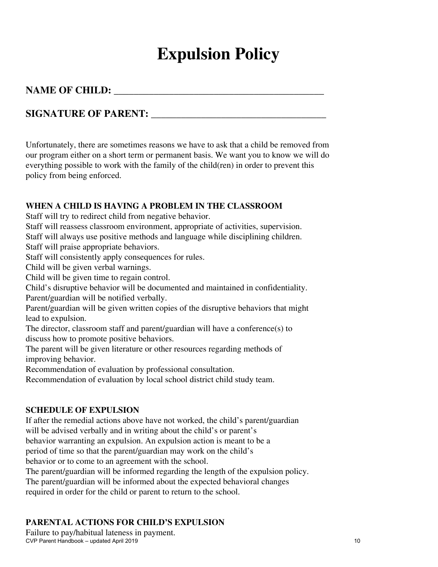# **Expulsion Policy**

#### **NAME OF CHILD: \_\_\_\_\_\_\_\_\_\_\_\_\_\_\_\_\_\_\_\_\_\_\_\_\_\_\_\_\_\_\_\_\_\_\_\_\_\_\_\_\_\_**

#### **SIGNATURE OF PARENT: \_\_\_\_\_\_\_\_\_\_\_\_\_\_\_\_\_\_\_\_\_\_\_\_\_\_\_\_\_\_\_\_\_\_\_**

Unfortunately, there are sometimes reasons we have to ask that a child be removed from our program either on a short term or permanent basis. We want you to know we will do everything possible to work with the family of the child(ren) in order to prevent this policy from being enforced.

#### **WHEN A CHILD IS HAVING A PROBLEM IN THE CLASSROOM**

Staff will try to redirect child from negative behavior.

Staff will reassess classroom environment, appropriate of activities, supervision.

Staff will always use positive methods and language while disciplining children. Staff will praise appropriate behaviors.

Staff will consistently apply consequences for rules.

Child will be given verbal warnings.

Child will be given time to regain control.

Child's disruptive behavior will be documented and maintained in confidentiality. Parent/guardian will be notified verbally.

Parent/guardian will be given written copies of the disruptive behaviors that might lead to expulsion.

The director, classroom staff and parent/guardian will have a conference(s) to discuss how to promote positive behaviors.

The parent will be given literature or other resources regarding methods of improving behavior.

Recommendation of evaluation by professional consultation.

Recommendation of evaluation by local school district child study team.

#### **SCHEDULE OF EXPULSION**

If after the remedial actions above have not worked, the child's parent/guardian will be advised verbally and in writing about the child's or parent's

behavior warranting an expulsion. An expulsion action is meant to be a

period of time so that the parent/guardian may work on the child's

behavior or to come to an agreement with the school.

The parent/guardian will be informed regarding the length of the expulsion policy.

The parent/guardian will be informed about the expected behavioral changes

required in order for the child or parent to return to the school.

#### **PARENTAL ACTIONS FOR CHILD'S EXPULSION**

Failure to pay/habitual lateness in payment. CVP Parent Handbook – updated April 2019 10